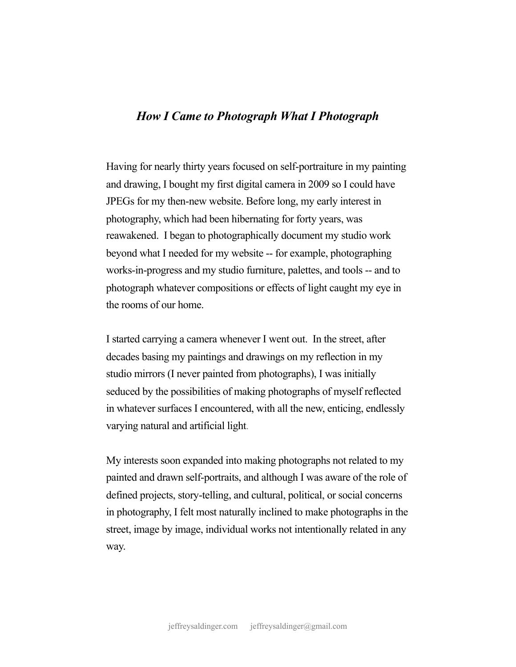## *How I Came to Photograph What I Photograph*

Having for nearly thirty years focused on self-portraiture in my painting and drawing, I bought my first digital camera in 2009 so I could have JPEGs for my then-new website. Before long, my early interest in photography, which had been hibernating for forty years, was reawakened. I began to photographically document my studio work beyond what I needed for my website -- for example, photographing works-in-progress and my studio furniture, palettes, and tools -- and to photograph whatever compositions or effects of light caught my eye in the rooms of our home.

I started carrying a camera whenever I went out. In the street, after decades basing my paintings and drawings on my reflection in my studio mirrors (I never painted from photographs), I was initially seduced by the possibilities of making photographs of myself reflected in whatever surfaces I encountered, with all the new, enticing, endlessly varying natural and artificial light.

My interests soon expanded into making photographs not related to my painted and drawn self-portraits, and although I was aware of the role of defined projects, story-telling, and cultural, political, or social concerns in photography, I felt most naturally inclined to make photographs in the street, image by image, individual works not intentionally related in any way.